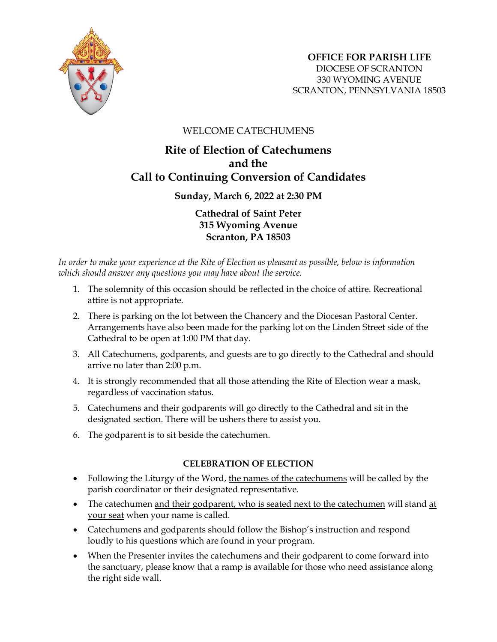

## WELCOME CATECHUMENS

## **Rite of Election of Catechumens and the Call to Continuing Conversion of Candidates**

**Sunday, March 6, 2022 at 2:30 PM**

**Cathedral of Saint Peter 315 Wyoming Avenue Scranton, PA 18503**

*In order to make your experience at the Rite of Election as pleasant as possible, below is information which should answer any questions you may have about the service.*

- 1. The solemnity of this occasion should be reflected in the choice of attire. Recreational attire is not appropriate.
- 2. There is parking on the lot between the Chancery and the Diocesan Pastoral Center. Arrangements have also been made for the parking lot on the Linden Street side of the Cathedral to be open at 1:00 PM that day.
- 3. All Catechumens, godparents, and guests are to go directly to the Cathedral and should arrive no later than 2:00 p.m.
- 4. It is strongly recommended that all those attending the Rite of Election wear a mask, regardless of vaccination status.
- 5. Catechumens and their godparents will go directly to the Cathedral and sit in the designated section. There will be ushers there to assist you.
- 6. The godparent is to sit beside the catechumen.

## **CELEBRATION OF ELECTION**

- Following the Liturgy of the Word, the names of the catechumens will be called by the parish coordinator or their designated representative.
- The catechumen and their godparent, who is seated next to the catechumen will stand at your seat when your name is called.
- Catechumens and godparents should follow the Bishop's instruction and respond loudly to his questions which are found in your program.
- When the Presenter invites the catechumens and their godparent to come forward into the sanctuary, please know that a ramp is available for those who need assistance along the right side wall.